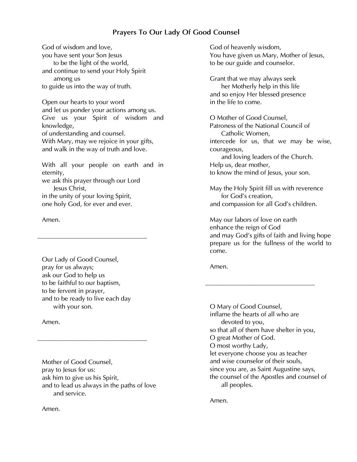# *Prayers To Our Lady Of Good Counsel*

*God of wisdom and love, you have sent your Son Jesus to be the light of the world, and continue to send your Holy Spirit among us to guide us into the way of truth.*

*Open our hearts to your word and let us ponder your actions among us. Give us your Spirit of wisdom and knowledge, of understanding and counsel. With Mary, may we rejoice in your gifts, and walk in the way of truth and love.*

*With all your people on earth and in eternity, we ask this prayer through our Lord* 

*Jesus Christ, in the unity of your loving Spirit, one holy God, for ever and ever.*

*\_\_\_\_\_\_\_\_\_\_\_\_\_\_\_\_\_\_\_\_\_\_\_\_\_\_\_\_\_\_\_\_\_\_*

## *Amen.*

*Our Lady of Good Counsel, pray for us always; ask our God to help us to be faithful to our baptism, to be fervent in prayer, and to be ready to live each day with your son.*

*Amen.*

*Mother of Good Counsel, pray to Jesus for us: ask him to give us his Spirit, and to lead us always in the paths of love and service.*

*\_\_\_\_\_\_\_\_\_\_\_\_\_\_\_\_\_\_\_\_\_\_\_\_\_\_\_\_\_\_\_\_\_\_*

*God of heavenly wisdom, You have given us Mary, Mother of Jesus, to be our guide and counselor.*

*Grant that we may always seek her Motherly help in this life and so enjoy Her blessed presence in the life to come.*

*O Mother of Good Counsel, Patroness of the National Council of Catholic Women, intercede for us, that we may be wise, courageous, and loving leaders of the Church. Help us, dear mother, to know the mind of Jesus, your son.* 

*May the Holy Spirit fill us with reverence for God's creation, and compassion for all God's children.* 

*May our labors of love on earth enhance the reign of God and may God's gifts of faith and living hope prepare us for the fullness of the world to come.*

*Amen.*

*O Mary of Good Counsel, inflame the hearts of all who are devoted to you, so that all of them have shelter in you, O great Mother of God. O most worthy Lady, let everyone choose you as teacher and wise counselor of their souls, since you are, as Saint Augustine says, the counsel of the Apostles and counsel of all peoples.*

*\_\_\_\_\_\_\_\_\_\_\_\_\_\_\_\_\_\_\_\_\_\_\_\_\_\_\_\_\_\_\_\_\_\_*

*Amen.*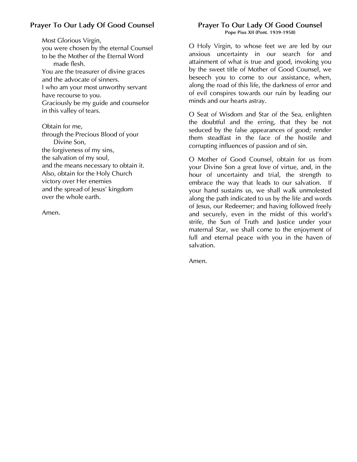# *Prayer To Our Lady Of Good Counsel*

*Most Glorious Virgin, you were chosen by the eternal Counsel to be the Mother of the Eternal Word made flesh. You are the treasurer of divine graces and the advocate of sinners. I who am your most unworthy servant have recourse to you. Graciously be my guide and counselor in this valley of tears.* 

*Obtain for me, through the Precious Blood of your Divine Son, the forgiveness of my sins, the salvation of my soul, and the means necessary to obtain it. Also, obtain for the Holy Church victory over Her enemies and the spread of Jesus' kingdom over the whole earth.*

*Amen.*

## *Prayer To Our Lady Of Good Counsel Pope Pius XII (Pont. 1939-1958)*

*O Holy Virgin, to whose feet we are led by our anxious uncertainty in our search for and attainment of what is true and good, invoking you by the sweet title of Mother of Good Counsel, we beseech you to come to our assistance, when, along the road of this life, the darkness of error and of evil conspires towards our ruin by leading our minds and our hearts astray.* 

*O Seat of Wisdom and Star of the Sea, enlighten the doubtful and the erring, that they be not seduced by the false appearances of good; render them steadfast in the face of the hostile and corrupting influences of passion and of sin.* 

*O Mother of Good Counsel, obtain for us from your Divine Son a great love of virtue, and, in the hour of uncertainty and trial, the strength to embrace the way that leads to our salvation. If your hand sustains us, we shall walk unmolested along the path indicated to us by the life and words of Jesus, our Redeemer; and having followed freely and securely, even in the midst of this world's strife, the Sun of Truth and Justice under your maternal Star, we shall come to the enjoyment of full and eternal peace with you in the haven of salvation.*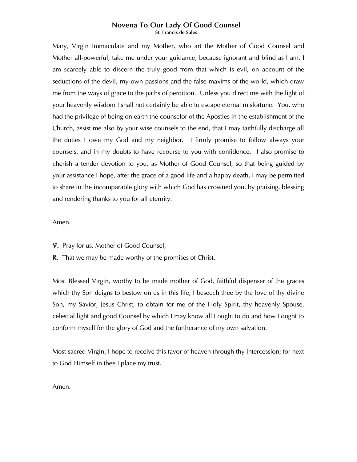#### *Novena To Our Lady Of Good Counsel St. Francis de Sales*

*Mary, Virgin Immaculate and my Mother, who art the Mother of Good Counsel and Mother all-powerful, take me under your guidance, because ignorant and blind as I am, I* am scarcely able to discern the truly good from that which is evil, on account of the *seductions of the devil, my own passions and the false maxims of the world, which draw me from the ways of grace to the paths of perdition. Unless you direct me with the light of your heavenly wisdom I shall not certainly be able to escape eternal misfortune. You, who had the privilege of being on earth the counselor of the Apostles in the establishment of the Church, assist me also by your wise counsels to the end, that I may faithfully discharge all the duties I owe my God and my neighbor. I firmly promise to follow always your counsels, and in my doubts to have recourse to you with confidence. I also promise to cherish a tender devotion to you, as Mother of Good Counsel, so that being guided by your assistance I hope, after the grace of a good life and a happy death, I may be permitted*  to share in the incomparable glory with which God has crowned you, by praising, blessing *and rendering thanks to you for all eternity.*

### *Amen.*

- *V/ . Pray for us, Mother of Good Counsel,*
- *R/ . That we may be made worthy of the promises of Christ.*

*Most Blessed Virgin, worthy to be made mother of God, faithful dispenser of the graces which thy Son deigns to bestow on us in this life, I beseech thee by the love of thy divine Son, my Savior, Jesus Christ, to obtain for me of the Holy Spirit, thy heavenly Spouse, celestial light and good Counsel by which I may know all I ought to do and how I ought to conform myself for the glory of God and the furtherance of my own salvation.*

*Most sacred Virgin, I hope to receive this favor of heaven through thy intercession; for next to God Himself in thee I place my trust.*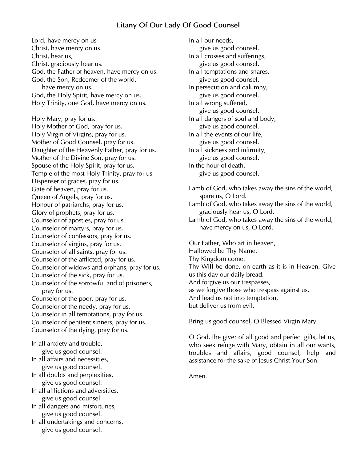## *Litany Of Our Lady Of Good Counsel*

*Lord, have mercy on us Christ, have mercy on us Christ, hear us, Christ, graciously hear us. God, the Father of heaven, have mercy on us. God, the Son, Redeemer of the world, have mercy on us. God, the Holy Spirit, have mercy on us. Holy Trinity, one God, have mercy on us. Holy Mary, pray for us. Holy Mother of God, pray for us. Holy Virgin of Virgins, pray for us. Mother of Good Counsel, pray for us. Daughter of the Heavenly Father, pray for us. Mother of the Divine Son, pray for us. Spouse of the Holy Spirit, pray for us. Temple of the most Holy Trinity, pray for us Dispenser of graces, pray for us. Gate of heaven, pray for us. Queen of Angels, pray for us. Honour of patriarchs, pray for us. Glory of prophets, pray for us. Counselor of apostles, pray for us. Counselor of martyrs, pray for us. Counselor of confessors, pray for us. Counselor of virgins, pray for us. Counselor of all saints, pray for us. Counselor of the afflicted, pray for us. Counselor of widows and orphans, pray for us. Counselor of the sick, pray for us. Counselor of the sorrowful and of prisoners, pray for us. Counselor of the poor, pray for us. Counselor of the needy, pray for us. Counselor in all temptations, pray for us. Counselor of penitent sinners, pray for us. Counselor of the dying, pray for us. In all anxiety and trouble,*

*give us good counsel. In all affairs and necessities, give us good counsel. In all doubts and perplexities, give us good counsel. In all afflictions and adversities, give us good counsel. In all dangers and misfortunes, give us good counsel. In all undertakings and concerns, give us good counsel.*

*In all our needs, give us good counsel. In all crosses and sufferings, give us good counsel. In all temptations and snares, give us good counsel. In persecution and calumny, give us good counsel. In all wrong suffered, give us good counsel. In all dangers of soul and body, give us good counsel. In all the events of our life, give us good counsel. In all sickness and infirmity, give us good counsel. In the hour of death, give us good counsel.*

*Lamb of God, who takes away the sins of the world, spare us, O Lord. Lamb of God, who takes away the sins of the world, graciously hear us, O Lord. Lamb of God, who takes away the sins of the world,* 

*have mercy on us, O Lord.*

*Our Father, Who art in heaven, Hallowed be Thy Name. Thy Kingdom come. Thy Will be done, on earth as it is in Heaven. Give us this day our daily bread. And forgive us our trespasses, as we forgive those who trespass against us. And lead us not into temptation, but deliver us from evil.*

*Bring us good counsel, O Blessed Virgin Mary.*

*O God, the giver of all good and perfect gifts, let us, who seek refuge with Mary, obtain in all our wants, troubles and affairs, good counsel, help and assistance for the sake of Jesus Christ Your Son.*